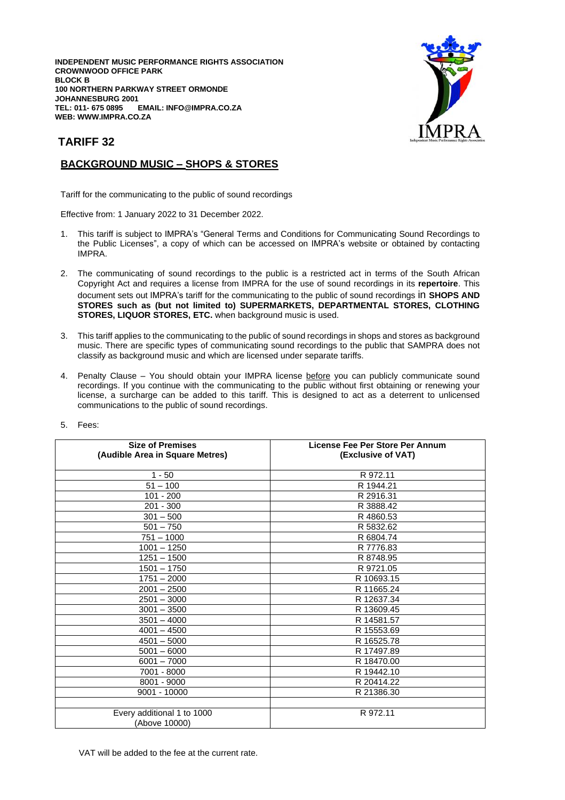**INDEPENDENT MUSIC PERFORMANCE RIGHTS ASSOCIATION CROWNWOOD OFFICE PARK BLOCK B 100 NORTHERN PARKWAY STREET ORMONDE JOHANNESBURG 2001 TEL: 011- 675 0895 EMAIL: INFO@IMPRA.CO.ZA WEB: WWW.IMPRA.CO.ZA**



## **TARIFF 32**

## **BACKGROUND MUSIC – SHOPS & STORES**

Tariff for the communicating to the public of sound recordings

Effective from: 1 January 2022 to 31 December 2022.

- 1. This tariff is subject to IMPRA's "General Terms and Conditions for Communicating Sound Recordings to the Public Licenses", a copy of which can be accessed on IMPRA's website or obtained by contacting IMPRA.
- 2. The communicating of sound recordings to the public is a restricted act in terms of the South African Copyright Act and requires a license from IMPRA for the use of sound recordings in its **repertoire**. This document sets out IMPRA's tariff for the communicating to the public of sound recordings in **SHOPS AND STORES such as (but not limited to) SUPERMARKETS, DEPARTMENTAL STORES, CLOTHING STORES, LIQUOR STORES, ETC.** when background music is used.
- 3. This tariff applies to the communicating to the public of sound recordings in shops and stores as background music. There are specific types of communicating sound recordings to the public that SAMPRA does not classify as background music and which are licensed under separate tariffs.
- 4. Penalty Clause You should obtain your IMPRA license before you can publicly communicate sound recordings. If you continue with the communicating to the public without first obtaining or renewing your license, a surcharge can be added to this tariff. This is designed to act as a deterrent to unlicensed communications to the public of sound recordings.

| License Fee Per Store Per Annum |
|---------------------------------|
| (Exclusive of VAT)              |
|                                 |
| R 972.11                        |
| R 1944.21                       |
| R 2916.31                       |
| R 3888.42                       |
| R4860.53                        |
| R 5832.62                       |
| R 6804.74                       |
| R 7776.83                       |
| R 8748.95                       |
| R 9721.05                       |
| R 10693.15                      |
| R 11665.24                      |
| R 12637.34                      |
| R 13609.45                      |
| R 14581.57                      |
| R 15553.69                      |
| R 16525.78                      |
| R 17497.89                      |
| R 18470.00                      |
| R 19442.10                      |
| R 20414.22                      |
| R 21386.30                      |
|                                 |
| R 972.11                        |
|                                 |
|                                 |

5. Fees: